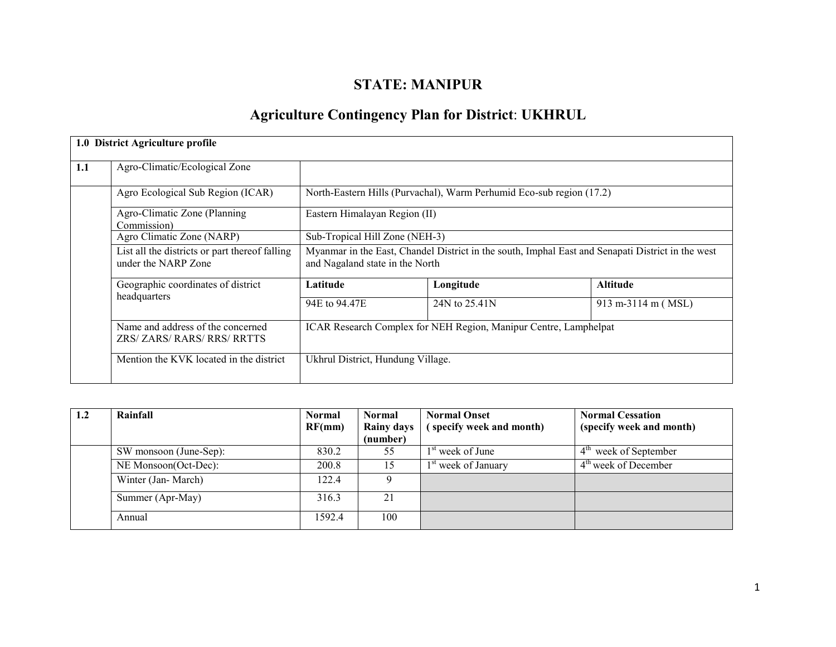# STATE: MANIPUR

# Agriculture Contingency Plan for District: UKHRUL

|     | 1.0 District Agriculture profile                                      |                                                                                                                                      |                                                                      |                    |  |  |
|-----|-----------------------------------------------------------------------|--------------------------------------------------------------------------------------------------------------------------------------|----------------------------------------------------------------------|--------------------|--|--|
| 1.1 | Agro-Climatic/Ecological Zone                                         |                                                                                                                                      |                                                                      |                    |  |  |
|     | Agro Ecological Sub Region (ICAR)                                     |                                                                                                                                      | North-Eastern Hills (Purvachal), Warm Perhumid Eco-sub region (17.2) |                    |  |  |
|     | Agro-Climatic Zone (Planning)<br>Commission)                          | Eastern Himalayan Region (II)                                                                                                        |                                                                      |                    |  |  |
|     | Agro Climatic Zone (NARP)                                             | Sub-Tropical Hill Zone (NEH-3)                                                                                                       |                                                                      |                    |  |  |
|     | List all the districts or part thereof falling<br>under the NARP Zone | Myanmar in the East, Chandel District in the south, Imphal East and Senapati District in the west<br>and Nagaland state in the North |                                                                      |                    |  |  |
|     | Geographic coordinates of district<br>headquarters                    | Latitude                                                                                                                             | Longitude                                                            | <b>Altitude</b>    |  |  |
|     |                                                                       | 94 E to 94.47 E                                                                                                                      | 24N to 25.41N                                                        | 913 m-3114 m (MSL) |  |  |
|     | Name and address of the concerned<br>ZRS/ ZARS/ RARS/ RRS/ RRTTS      | ICAR Research Complex for NEH Region, Manipur Centre, Lamphelpat                                                                     |                                                                      |                    |  |  |
|     | Mention the KVK located in the district                               | Ukhrul District, Hundung Village.                                                                                                    |                                                                      |                    |  |  |

| $1.2\phantom{0}$ | Rainfall               | <b>Normal</b><br>RF(mm) | <b>Normal</b><br><b>Rainy days</b><br>(number) | <b>Normal Onset</b><br>(specify week and month) | <b>Normal Cessation</b><br>(specify week and month) |  |
|------------------|------------------------|-------------------------|------------------------------------------------|-------------------------------------------------|-----------------------------------------------------|--|
|                  |                        |                         |                                                |                                                 |                                                     |  |
|                  | SW monsoon (June-Sep): | 830.2                   | 55                                             | $1st$ week of June                              | 4 <sup>th</sup> week of September                   |  |
|                  | NE Monsoon(Oct-Dec):   | 200.8                   | 15                                             | 1 <sup>st</sup> week of January                 | $4th$ week of December                              |  |
|                  | Winter (Jan-March)     | 122.4                   | Q                                              |                                                 |                                                     |  |
|                  | Summer (Apr-May)       | 316.3                   | 21                                             |                                                 |                                                     |  |
|                  | Annual                 | 1592.4                  | 100                                            |                                                 |                                                     |  |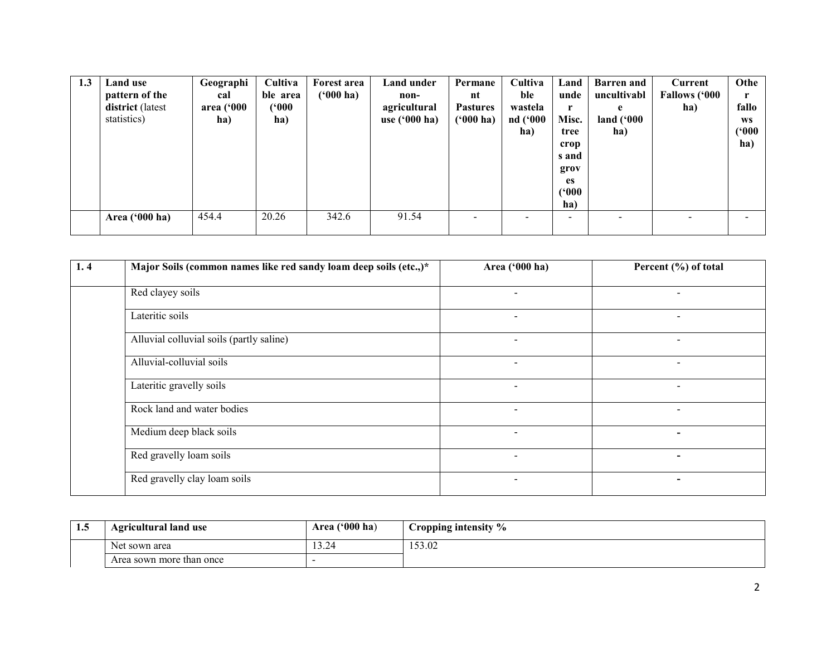| 1.3 | Land use<br>pattern of the<br>district (latest<br>statistics) | Geographi<br>cal<br>area ('000<br>ha) | Cultiva<br>ble area<br>('000<br>ha) | Forest area<br>$(900)$ ha) | Land under<br>non-<br>agricultural<br>use $(900)$ ha) | Permane<br>nt<br><b>Pastures</b><br>$(900)$ ha) | Cultiva<br>ble<br>wastela<br>nd ('000<br>ha) | Land<br>unde<br>Misc.<br>tree<br>crop<br>s and<br>grov | <b>Barren</b> and<br>uncultivabl<br>e<br>land $(900)$<br>ha) | Current<br><b>Fallows ('000</b><br>ha) | Othe<br>fallo<br>WS<br>(900)<br>ha) |
|-----|---------------------------------------------------------------|---------------------------------------|-------------------------------------|----------------------------|-------------------------------------------------------|-------------------------------------------------|----------------------------------------------|--------------------------------------------------------|--------------------------------------------------------------|----------------------------------------|-------------------------------------|
|     | Area ('000 ha)                                                | 454.4                                 | 20.26                               | 342.6                      | 91.54                                                 | $\overline{\phantom{0}}$                        |                                              | <b>es</b><br>(900)<br>ha)<br>$\overline{\phantom{0}}$  |                                                              |                                        |                                     |

| 1.4 | Major Soils (common names like red sandy loam deep soils (etc.,)* | Area ('000 ha)           | Percent (%) of total     |
|-----|-------------------------------------------------------------------|--------------------------|--------------------------|
|     | Red clayey soils                                                  |                          | $\overline{\phantom{a}}$ |
|     | Lateritic soils                                                   | $\overline{\phantom{a}}$ | $\overline{\phantom{a}}$ |
|     | Alluvial colluvial soils (partly saline)                          |                          |                          |
|     | Alluvial-colluvial soils                                          |                          | $\overline{\phantom{a}}$ |
|     | Lateritic gravelly soils                                          | $\overline{\phantom{a}}$ | $\overline{\phantom{0}}$ |
|     | Rock land and water bodies                                        | $\overline{\phantom{a}}$ | $\overline{\phantom{a}}$ |
|     | Medium deep black soils                                           |                          | $\overline{\phantom{0}}$ |
|     | Red gravelly loam soils                                           | $\overline{\phantom{a}}$ | $\,$                     |
|     | Red gravelly clay loam soils                                      |                          |                          |

| $\mathbf{L}.\mathbf{S}$ | <b>Agricultural land use</b> | Area $('000 ha)$ | Cropping intensity % |
|-------------------------|------------------------------|------------------|----------------------|
|                         | Net sown area                | $\sim$<br>−∠.د 1 | 153.02               |
|                         | Area sown more than once     |                  |                      |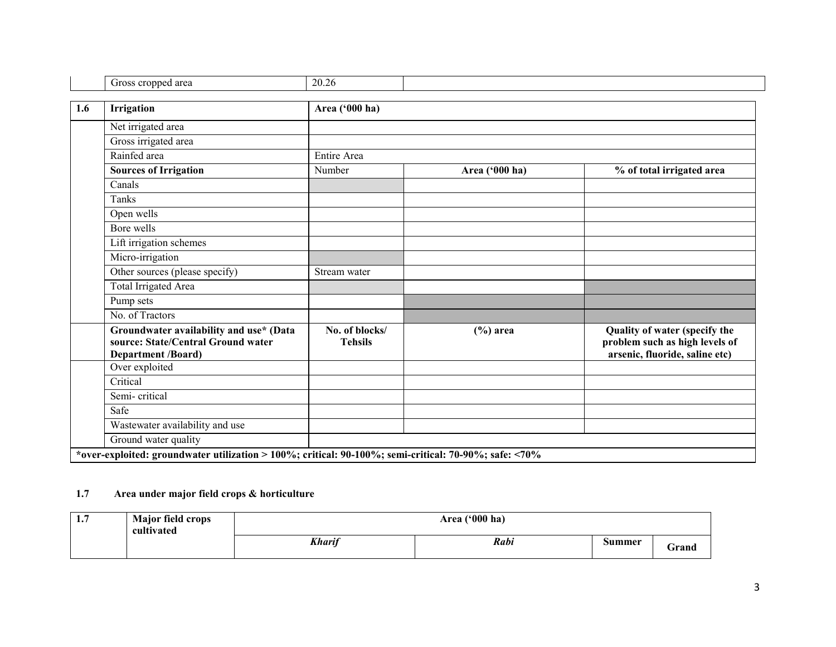| Gross cropped area                                                                                         | 20.26                            |                |                                                                                                   |
|------------------------------------------------------------------------------------------------------------|----------------------------------|----------------|---------------------------------------------------------------------------------------------------|
| <b>Irrigation</b>                                                                                          | Area ('000 ha)                   |                |                                                                                                   |
| Net irrigated area                                                                                         |                                  |                |                                                                                                   |
| Gross irrigated area                                                                                       |                                  |                |                                                                                                   |
| Rainfed area                                                                                               | Entire Area                      |                |                                                                                                   |
| <b>Sources of Irrigation</b>                                                                               | Number                           | Area ('000 ha) | % of total irrigated area                                                                         |
| Canals                                                                                                     |                                  |                |                                                                                                   |
| Tanks                                                                                                      |                                  |                |                                                                                                   |
| Open wells                                                                                                 |                                  |                |                                                                                                   |
| Bore wells                                                                                                 |                                  |                |                                                                                                   |
| Lift irrigation schemes                                                                                    |                                  |                |                                                                                                   |
| Micro-irrigation                                                                                           |                                  |                |                                                                                                   |
| Other sources (please specify)                                                                             | Stream water                     |                |                                                                                                   |
| <b>Total Irrigated Area</b>                                                                                |                                  |                |                                                                                                   |
| Pump sets                                                                                                  |                                  |                |                                                                                                   |
| No. of Tractors                                                                                            |                                  |                |                                                                                                   |
| Groundwater availability and use* (Data<br>source: State/Central Ground water<br><b>Department /Board)</b> | No. of blocks/<br><b>Tehsils</b> | $(\%)$ area    | Quality of water (specify the<br>problem such as high levels of<br>arsenic, fluoride, saline etc) |
| Over exploited                                                                                             |                                  |                |                                                                                                   |
| Critical                                                                                                   |                                  |                |                                                                                                   |
| Semi-critical                                                                                              |                                  |                |                                                                                                   |
| Safe                                                                                                       |                                  |                |                                                                                                   |
| Wastewater availability and use                                                                            |                                  |                |                                                                                                   |
| Ground water quality                                                                                       |                                  |                |                                                                                                   |

#### 1.7 Area under major field crops & horticulture

| 1.7 | <b>Major field crops</b><br>cultivated |               | $(900)$ ha)<br><b>Area</b> |        |       |  |  |  |
|-----|----------------------------------------|---------------|----------------------------|--------|-------|--|--|--|
|     |                                        | <b>Kharif</b> | Rabi                       | Summer | Grand |  |  |  |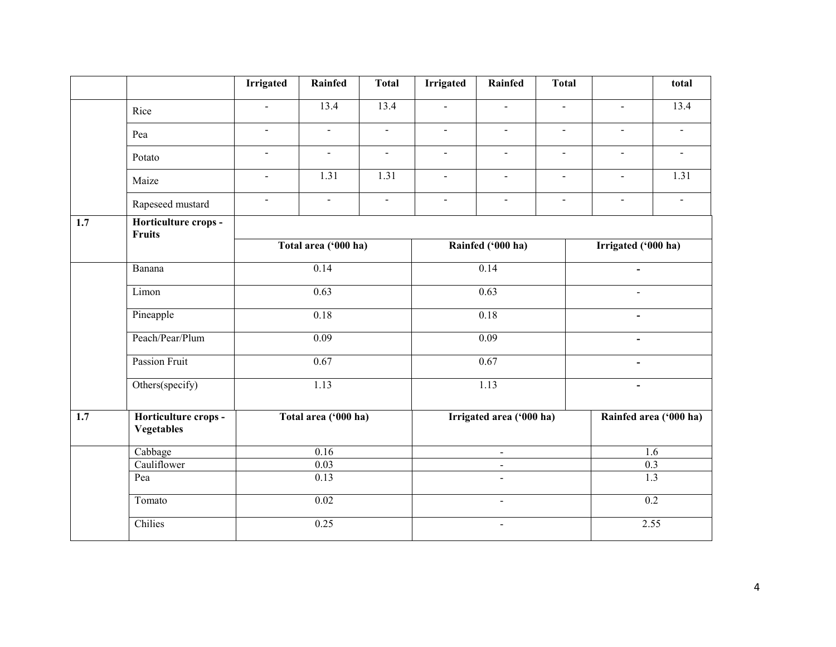|                  |                                           | <b>Irrigated</b>         | Rainfed              | <b>Total</b>   | <b>Irrigated</b>                 | Rainfed                     | <b>Total</b>   |                                            | total                    |  |
|------------------|-------------------------------------------|--------------------------|----------------------|----------------|----------------------------------|-----------------------------|----------------|--------------------------------------------|--------------------------|--|
|                  | Rice                                      | $\blacksquare$           | 13.4                 | 13.4           | $\Delta$                         | $\overline{\phantom{a}}$    | $\mathbf{r}$   | $\overline{a}$                             | 13.4                     |  |
|                  | Pea                                       | $\blacksquare$           | $\blacksquare$       | $\blacksquare$ | $\blacksquare$                   | $\overline{a}$              | $\blacksquare$ |                                            | $\overline{a}$           |  |
|                  | Potato                                    | $\blacksquare$           | $\blacksquare$       | $\omega$       | $\omega$                         | $\omega$                    | $\blacksquare$ | $\blacksquare$                             | $\omega$                 |  |
|                  | Maize                                     | $\overline{\phantom{a}}$ | 1.31                 | 1.31           | $\blacksquare$                   | $\blacksquare$              | $\blacksquare$ | $\blacksquare$                             | 1.31                     |  |
|                  | Rapeseed mustard                          | $\blacksquare$           | $\blacksquare$       | $\blacksquare$ | $\blacksquare$                   | $\blacksquare$              | $\blacksquare$ | $\blacksquare$                             | $\overline{\phantom{a}}$ |  |
| $\overline{1.7}$ | Horticulture crops -<br><b>Fruits</b>     |                          |                      |                |                                  |                             |                |                                            |                          |  |
|                  |                                           |                          | Total area ('000 ha) |                |                                  | Rainfed ('000 ha)           |                | Irrigated ('000 ha)                        |                          |  |
|                  | Banana                                    |                          | 0.14                 |                |                                  | 0.14                        |                |                                            | $\blacksquare$           |  |
|                  | Limon                                     |                          | 0.63                 |                |                                  | 0.63                        |                |                                            |                          |  |
|                  | Pineapple                                 |                          | 0.18                 |                | 0.18<br>0.09                     |                             |                | $\blacksquare$<br>$\overline{\phantom{a}}$ |                          |  |
|                  | Peach/Pear/Plum                           |                          | 0.09                 |                |                                  |                             |                |                                            |                          |  |
|                  | Passion Fruit                             |                          | 0.67                 |                |                                  | 0.67                        |                | $\blacksquare$                             |                          |  |
|                  | Others(specify)                           |                          | 1.13                 |                |                                  | 1.13                        |                | $\blacksquare$                             |                          |  |
| $\overline{1.7}$ | Horticulture crops -<br><b>Vegetables</b> |                          | Total area ('000 ha) |                |                                  | Irrigated area ('000 ha)    |                | Rainfed area ('000 ha)                     |                          |  |
|                  | Cabbage                                   |                          | $\overline{0.16}$    |                |                                  | $\mathcal{L}^{\mathcal{L}}$ |                |                                            | 1.6                      |  |
|                  | Cauliflower                               |                          | 0.03                 |                |                                  | $\blacksquare$              |                | 0.3                                        |                          |  |
|                  | Pea                                       |                          | 0.13                 |                | $\blacksquare$<br>$\blacksquare$ |                             |                | $\overline{1.3}$                           |                          |  |
|                  | Tomato                                    |                          | $\overline{0.02}$    |                |                                  |                             |                | $\overline{0.2}$                           |                          |  |
|                  | Chilies                                   |                          | 0.25                 |                | $\blacksquare$                   |                             |                | 2.55                                       |                          |  |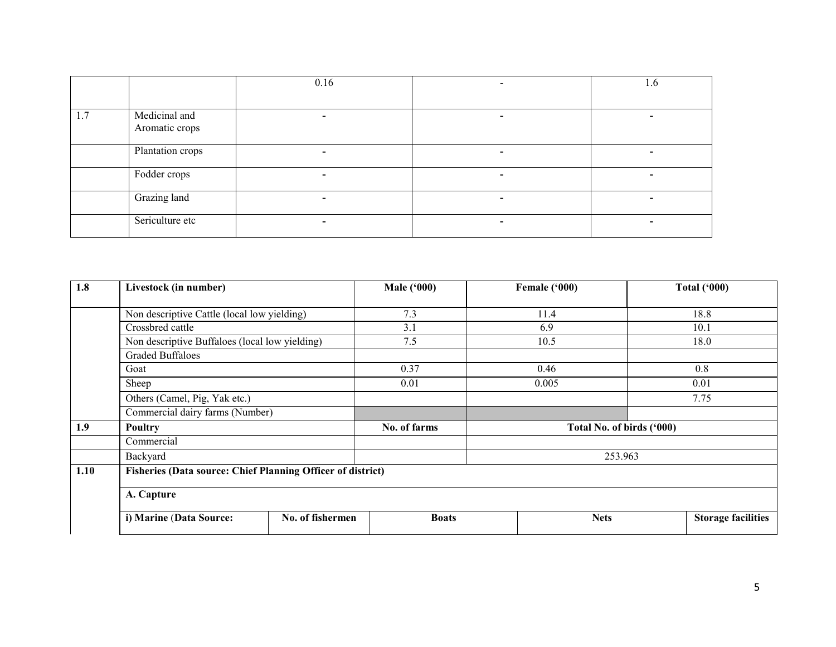|     |                                 | 0.16 | 1.0 |
|-----|---------------------------------|------|-----|
|     |                                 |      |     |
| 1.7 | Medicinal and<br>Aromatic crops |      |     |
|     | Plantation crops                |      |     |
|     | Fodder crops                    |      |     |
|     | Grazing land                    |      |     |
|     | Sericulture etc                 |      |     |

| 1.8  | Livestock (in number)                                              |                  | <b>Male ('000)</b> | Female ('000) | <b>Total ('000)</b>       |
|------|--------------------------------------------------------------------|------------------|--------------------|---------------|---------------------------|
|      |                                                                    |                  |                    |               |                           |
|      | Non descriptive Cattle (local low yielding)                        |                  | 7.3                | 11.4          | 18.8                      |
|      | Crossbred cattle                                                   |                  | 3.1                | 6.9           | 10.1                      |
|      | Non descriptive Buffaloes (local low yielding)                     |                  | 7.5                | 10.5          | 18.0                      |
|      | <b>Graded Buffaloes</b>                                            |                  |                    |               |                           |
|      | Goat                                                               |                  | 0.37               | 0.46          | 0.8                       |
|      | Sheep                                                              |                  | 0.01               | 0.005         | 0.01                      |
|      | Others (Camel, Pig, Yak etc.)                                      |                  |                    |               | 7.75                      |
|      | Commercial dairy farms (Number)                                    |                  |                    |               |                           |
| 1.9  | <b>Poultry</b>                                                     |                  | No. of farms       |               | Total No. of birds ('000) |
|      | Commercial                                                         |                  |                    |               |                           |
|      | Backyard                                                           |                  |                    |               | 253.963                   |
| 1.10 | <b>Fisheries (Data source: Chief Planning Officer of district)</b> |                  |                    |               |                           |
|      | A. Capture                                                         |                  |                    |               |                           |
|      | i) Marine (Data Source:                                            | No. of fishermen | <b>Boats</b>       | <b>Nets</b>   | <b>Storage facilities</b> |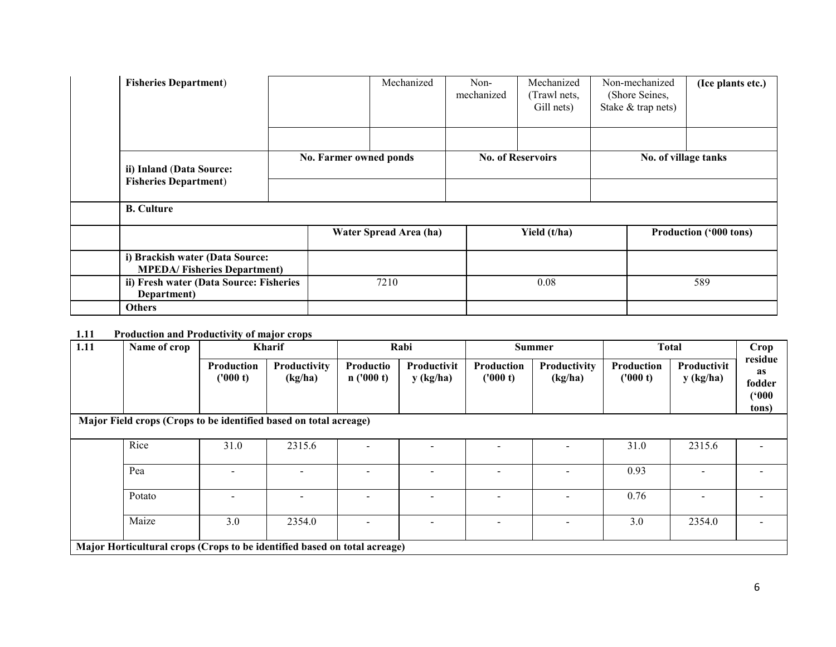| <b>Fisheries Department)</b>                                          |  |                        | Mechanized | Non-<br>mechanized | Mechanized<br>(Trawl nets,<br>Gill nets) | Non-mechanized<br>(Shore Seines,<br>Stake & trap nets) | (Ice plants etc.)             |  |
|-----------------------------------------------------------------------|--|------------------------|------------|--------------------|------------------------------------------|--------------------------------------------------------|-------------------------------|--|
| ii) Inland (Data Source:<br><b>Fisheries Department)</b>              |  | No. Farmer owned ponds |            |                    | <b>No. of Reservoirs</b>                 |                                                        | No. of village tanks          |  |
| <b>B.</b> Culture                                                     |  |                        |            |                    |                                          |                                                        |                               |  |
|                                                                       |  | Water Spread Area (ha) |            |                    | Yield (t/ha)                             |                                                        | <b>Production ('000 tons)</b> |  |
| i) Brackish water (Data Source:<br><b>MPEDA/Fisheries Department)</b> |  |                        |            |                    |                                          |                                                        |                               |  |
| ii) Fresh water (Data Source: Fisheries<br>Department)                |  | 7210                   |            |                    | 0.08                                     | 589                                                    |                               |  |
| <b>Others</b>                                                         |  |                        |            |                    |                                          |                                                        |                               |  |

#### 1.11 Production and Productivity of major crops

| 1.11 | Name of crop                                                              | Kharif                        |                         | Rabi                  |                          | <b>Summer</b>          |                         | <b>Total</b>           |                          | Crop                                      |
|------|---------------------------------------------------------------------------|-------------------------------|-------------------------|-----------------------|--------------------------|------------------------|-------------------------|------------------------|--------------------------|-------------------------------------------|
|      |                                                                           | <b>Production</b><br>('000 t) | Productivity<br>(kg/ha) | Productio<br>n(000 t) | Productivit<br>y (kg/ha) | Production<br>('000 t) | Productivity<br>(kg/ha) | Production<br>(1000 t) | Productivit<br>y (kg/ha) | residue<br>as<br>fodder<br>(900)<br>tons) |
|      | Major Field crops (Crops to be identified based on total acreage)         |                               |                         |                       |                          |                        |                         |                        |                          |                                           |
|      | Rice                                                                      | 31.0                          | 2315.6                  |                       |                          |                        |                         | 31.0                   | 2315.6                   |                                           |
|      | Pea                                                                       |                               |                         |                       |                          |                        |                         | 0.93                   |                          |                                           |
|      | Potato                                                                    |                               |                         |                       |                          |                        |                         | 0.76                   |                          |                                           |
|      | Maize                                                                     | 3.0                           | 2354.0                  |                       |                          |                        |                         | 3.0                    | 2354.0                   |                                           |
|      | Major Horticultural crops (Crops to be identified based on total acreage) |                               |                         |                       |                          |                        |                         |                        |                          |                                           |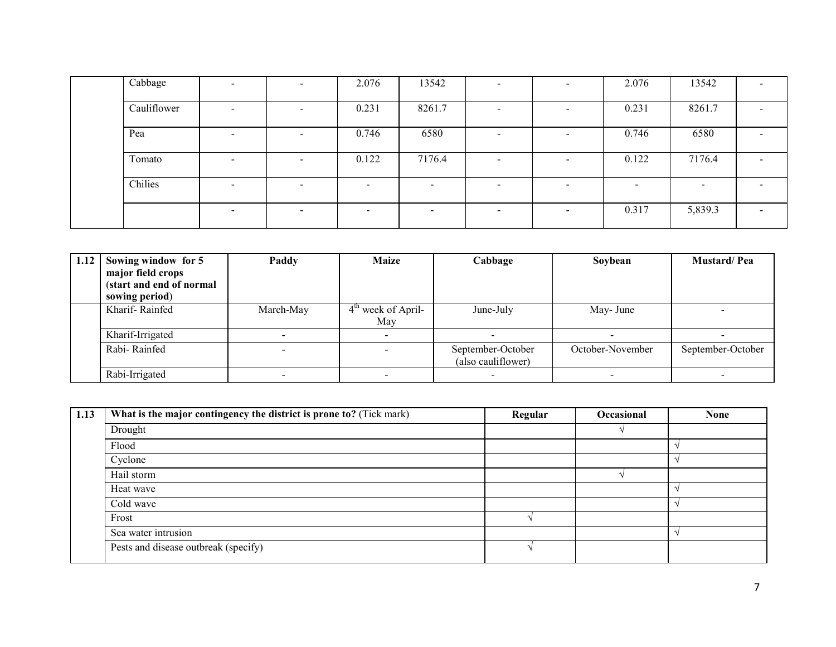| Cabbage     | $\overline{\phantom{0}}$ | $\overline{\phantom{0}}$ | 2.076                    | 13542                    | ۰                        | $\overline{\phantom{0}}$ | 2.076                    | 13542   |                          |
|-------------|--------------------------|--------------------------|--------------------------|--------------------------|--------------------------|--------------------------|--------------------------|---------|--------------------------|
| Cauliflower | $\overline{\phantom{0}}$ | $\overline{\phantom{0}}$ | 0.231                    | 8261.7                   | -                        | $\sim$                   | 0.231                    | 8261.7  |                          |
| Pea         | $\overline{\phantom{0}}$ | $\overline{\phantom{0}}$ | 0.746                    | 6580                     | $\overline{\phantom{0}}$ | $\overline{\phantom{0}}$ | 0.746                    | 6580    |                          |
| Tomato      | $\overline{\phantom{0}}$ | $\,$                     | 0.122                    | 7176.4                   | $\overline{\phantom{a}}$ | $\,$                     | 0.122                    | 7176.4  |                          |
| Chilies     | $\overline{\phantom{0}}$ | $\overline{\phantom{a}}$ | $\overline{\phantom{0}}$ | $\overline{\phantom{0}}$ | $\overline{\phantom{0}}$ | $\overline{\phantom{0}}$ | $\overline{\phantom{0}}$ | -       |                          |
|             | $\overline{\phantom{0}}$ | $\overline{\phantom{a}}$ | $\overline{\phantom{0}}$ | $\overline{\phantom{0}}$ | $\overline{\phantom{0}}$ | $\sim$                   | 0.317                    | 5,839.3 | $\overline{\phantom{0}}$ |

| 1.12 | Sowing window for 5<br>major field crops<br>(start and end of normal<br>sowing period) | Paddy     | <b>Maize</b>                | Cabbage                                 | Soybean                  | <b>Mustard/Pea</b> |
|------|----------------------------------------------------------------------------------------|-----------|-----------------------------|-----------------------------------------|--------------------------|--------------------|
|      | Kharif-Rainfed                                                                         | March-May | $4th$ week of April-<br>May | June-July                               | May- June                |                    |
|      | Kharif-Irrigated                                                                       |           |                             |                                         | $\overline{\phantom{0}}$ |                    |
|      | Rabi-Rainfed                                                                           |           |                             | September-October<br>(also cauliflower) | October-November         | September-October  |
|      | Rabi-Irrigated                                                                         |           |                             |                                         |                          |                    |

| 1.13 | What is the major contingency the district is prone to? (Tick mark) | Regular | Occasional | <b>None</b> |
|------|---------------------------------------------------------------------|---------|------------|-------------|
|      | Drought                                                             |         |            |             |
|      | Flood                                                               |         |            |             |
|      | Cyclone                                                             |         |            |             |
|      | Hail storm                                                          |         |            |             |
|      | Heat wave                                                           |         |            |             |
|      | Cold wave                                                           |         |            |             |
|      | Frost                                                               |         |            |             |
|      | Sea water intrusion                                                 |         |            |             |
|      | Pests and disease outbreak (specify)                                |         |            |             |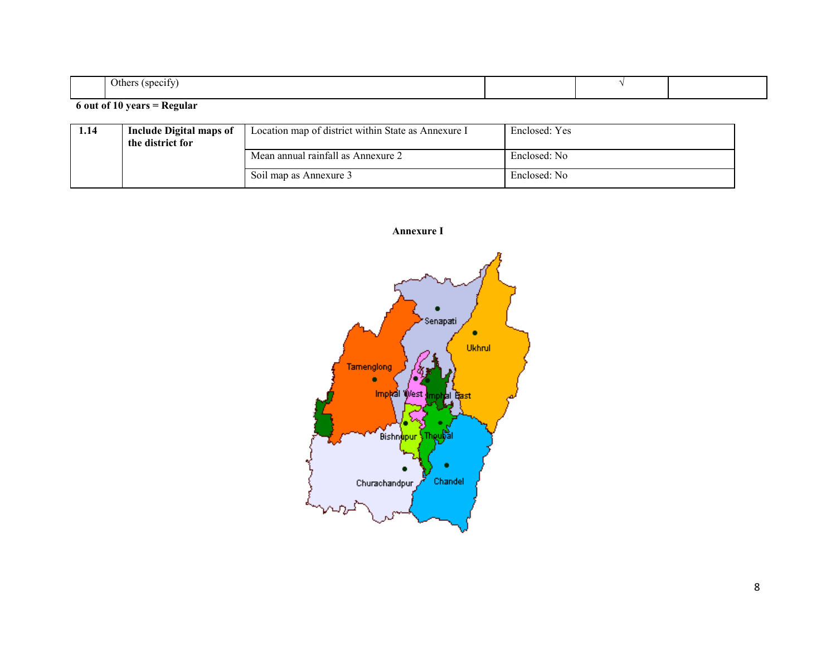| <b>SDE</b> | )ther<br>$\alpha$ n $\alpha$ |  |  |
|------------|------------------------------|--|--|

#### 6 out of 10 years = Regular

| 1.14 | Include Digital maps of<br>the district for | Location map of district within State as Annexure I | Enclosed: Yes |
|------|---------------------------------------------|-----------------------------------------------------|---------------|
|      |                                             | Mean annual rainfall as Annexure 2                  | Enclosed: No  |
|      |                                             | Soil map as Annexure 3                              | Enclosed: No  |

Annexure I

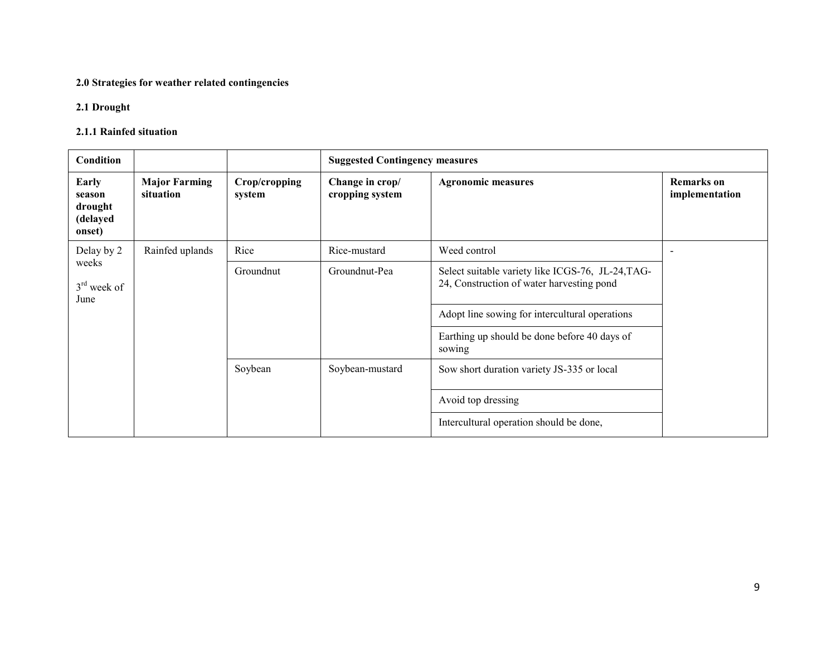#### 2.0 Strategies for weather related contingencies

# 2.1 Drought

## 2.1.1 Rainfed situation

| <b>Condition</b>                                 |                                   |                         | <b>Suggested Contingency measures</b> |                                                                                                                                                                                                            |                                     |  |
|--------------------------------------------------|-----------------------------------|-------------------------|---------------------------------------|------------------------------------------------------------------------------------------------------------------------------------------------------------------------------------------------------------|-------------------------------------|--|
| Early<br>season<br>drought<br>(delayed<br>onset) | <b>Major Farming</b><br>situation | Crop/cropping<br>system | Change in crop/<br>cropping system    | <b>Agronomic measures</b>                                                                                                                                                                                  | <b>Remarks</b> on<br>implementation |  |
| Delay by 2                                       | Rainfed uplands                   | Rice                    | Rice-mustard                          | Weed control                                                                                                                                                                                               | $\overline{\phantom{a}}$            |  |
| weeks<br>$3rd$ week of<br>June                   |                                   | Groundnut               | Groundnut-Pea                         | Select suitable variety like ICGS-76, JL-24, TAG-<br>24, Construction of water harvesting pond<br>Adopt line sowing for intercultural operations<br>Earthing up should be done before 40 days of<br>sowing |                                     |  |
|                                                  |                                   | Soybean                 | Soybean-mustard                       | Sow short duration variety JS-335 or local<br>Avoid top dressing                                                                                                                                           |                                     |  |
|                                                  |                                   |                         |                                       | Intercultural operation should be done,                                                                                                                                                                    |                                     |  |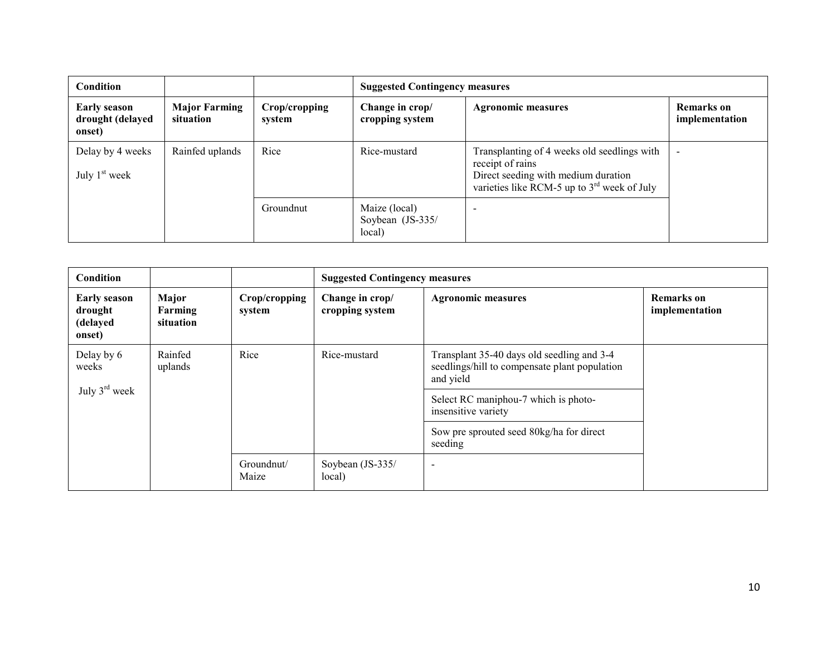| <b>Condition</b>                                  |                                   |                         | <b>Suggested Contingency measures</b>       |                                                                                                                                                         |                                     |  |
|---------------------------------------------------|-----------------------------------|-------------------------|---------------------------------------------|---------------------------------------------------------------------------------------------------------------------------------------------------------|-------------------------------------|--|
| <b>Early season</b><br>drought (delayed<br>onset) | <b>Major Farming</b><br>situation | Crop/cropping<br>system | Change in crop/<br>cropping system          | <b>Agronomic measures</b>                                                                                                                               | <b>Remarks</b> on<br>implementation |  |
| Delay by 4 weeks<br>July $1st$ week               | Rainfed uplands                   | Rice                    | Rice-mustard                                | Transplanting of 4 weeks old seedlings with<br>receipt of rains<br>Direct seeding with medium duration<br>varieties like RCM-5 up to $3rd$ week of July | $\overline{\phantom{a}}$            |  |
|                                                   |                                   | Groundnut               | Maize (local)<br>Soybean (JS-335/<br>local) | $\overline{\phantom{a}}$                                                                                                                                |                                     |  |

| Condition                                            |                               |                         |                                    | <b>Suggested Contingency measures</b>                                                                    |                                     |  |  |
|------------------------------------------------------|-------------------------------|-------------------------|------------------------------------|----------------------------------------------------------------------------------------------------------|-------------------------------------|--|--|
| <b>Early season</b><br>drought<br>(delayed<br>onset) | Major<br>Farming<br>situation | Crop/cropping<br>system | Change in crop/<br>cropping system | <b>Agronomic measures</b>                                                                                | <b>Remarks</b> on<br>implementation |  |  |
| Delay by 6<br>weeks                                  | Rainfed<br>uplands            | Rice                    | Rice-mustard                       | Transplant 35-40 days old seedling and 3-4<br>seedlings/hill to compensate plant population<br>and yield |                                     |  |  |
| July $3^{\text{rd}}$ week                            |                               |                         |                                    | Select RC maniphou-7 which is photo-<br>insensitive variety                                              |                                     |  |  |
|                                                      |                               |                         |                                    | Sow pre sprouted seed 80kg/ha for direct<br>seeding                                                      |                                     |  |  |
|                                                      |                               | Groundnut/<br>Maize     | Soybean (JS-335/<br>local)         | $\overline{\phantom{0}}$                                                                                 |                                     |  |  |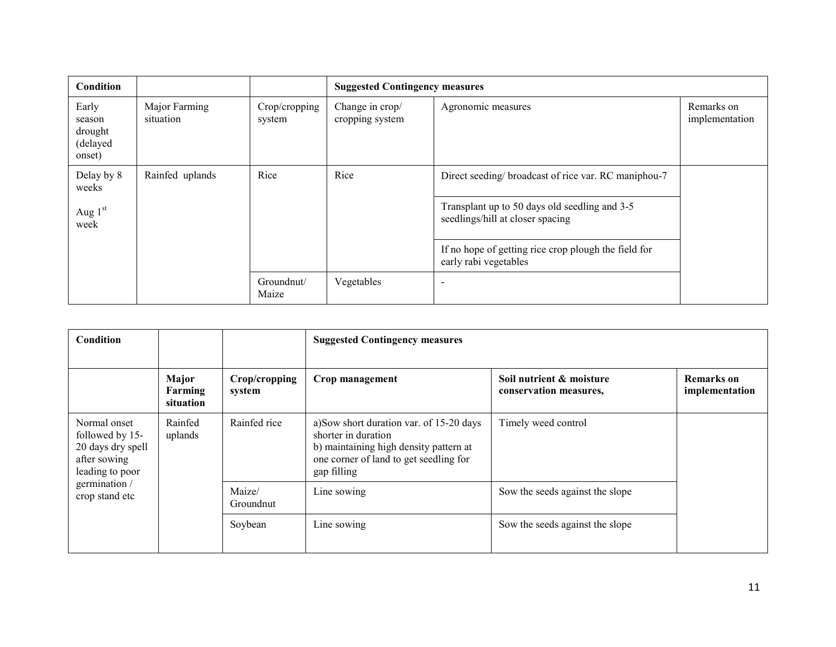| Condition                                        |                            |                         | <b>Suggested Contingency measures</b> |                                                                                   |                              |
|--------------------------------------------------|----------------------------|-------------------------|---------------------------------------|-----------------------------------------------------------------------------------|------------------------------|
| Early<br>season<br>drought<br>(delayed<br>onset) | Major Farming<br>situation | Crop/cropping<br>system | Change in crop/<br>cropping system    | Agronomic measures                                                                | Remarks on<br>implementation |
| Delay by 8<br>weeks                              | Rainfed uplands            | Rice                    | Rice                                  | Direct seeding/ broadcast of rice var. RC maniphou-7                              |                              |
| Aug $1st$<br>week                                |                            |                         |                                       | Transplant up to 50 days old seedling and 3-5<br>seedlings/hill at closer spacing |                              |
|                                                  |                            |                         |                                       | If no hope of getting rice crop plough the field for<br>early rabi vegetables     |                              |
|                                                  |                            | Groundnut/<br>Maize     | Vegetables                            |                                                                                   |                              |

| <b>Condition</b>                                                                        |                               |                         | <b>Suggested Contingency measures</b>                                                                                                                              |                                                    |                                     |
|-----------------------------------------------------------------------------------------|-------------------------------|-------------------------|--------------------------------------------------------------------------------------------------------------------------------------------------------------------|----------------------------------------------------|-------------------------------------|
|                                                                                         | Major<br>Farming<br>situation | Crop/cropping<br>system | Crop management                                                                                                                                                    | Soil nutrient & moisture<br>conservation measures, | <b>Remarks</b> on<br>implementation |
| Normal onset<br>followed by 15-<br>20 days dry spell<br>after sowing<br>leading to poor | Rainfed<br>uplands            | Rainfed rice            | a) Sow short duration var. of 15-20 days<br>shorter in duration<br>b) maintaining high density pattern at<br>one corner of land to get seedling for<br>gap filling | Timely weed control                                |                                     |
| germination /<br>crop stand etc                                                         |                               | Maize/<br>Groundnut     | Line sowing                                                                                                                                                        | Sow the seeds against the slope                    |                                     |
|                                                                                         |                               | Soybean                 | Line sowing                                                                                                                                                        | Sow the seeds against the slope                    |                                     |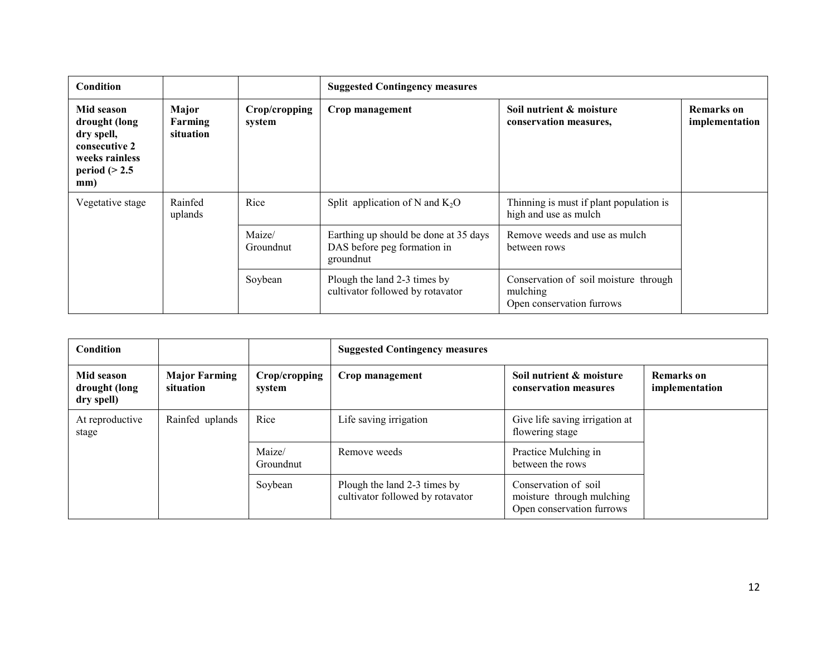| <b>Condition</b>                                                                                      |                               |                         | <b>Suggested Contingency measures</b>                                             |                                                                                |                              |
|-------------------------------------------------------------------------------------------------------|-------------------------------|-------------------------|-----------------------------------------------------------------------------------|--------------------------------------------------------------------------------|------------------------------|
| Mid season<br>drought (long<br>dry spell,<br>consecutive 2<br>weeks rainless<br>period $(>2.5$<br>mm) | Major<br>Farming<br>situation | Crop/cropping<br>system | Crop management                                                                   | Soil nutrient & moisture<br>conservation measures,                             | Remarks on<br>implementation |
| Vegetative stage                                                                                      | Rainfed<br>uplands            | Rice                    | Split application of N and $K_2O$                                                 | Thinning is must if plant population is<br>high and use as mulch               |                              |
|                                                                                                       |                               | Maize/<br>Groundnut     | Earthing up should be done at 35 days<br>DAS before peg formation in<br>groundnut | Remove weeds and use as mulch<br>between rows                                  |                              |
|                                                                                                       |                               | Soybean                 | Plough the land 2-3 times by<br>cultivator followed by rotavator                  | Conservation of soil moisture through<br>mulching<br>Open conservation furrows |                              |

| <b>Condition</b>                          |                                   |                         | <b>Suggested Contingency measures</b>                            |                                                                                |                              |
|-------------------------------------------|-----------------------------------|-------------------------|------------------------------------------------------------------|--------------------------------------------------------------------------------|------------------------------|
| Mid season<br>drought (long<br>dry spell) | <b>Major Farming</b><br>situation | Crop/cropping<br>system | Crop management                                                  | Soil nutrient & moisture<br>conservation measures                              | Remarks on<br>implementation |
| At reproductive<br>stage                  | Rainfed uplands                   | Rice                    | Life saving irrigation                                           | Give life saving irrigation at<br>flowering stage                              |                              |
|                                           |                                   | Maize/<br>Groundnut     | Remove weeds                                                     | Practice Mulching in<br>between the rows                                       |                              |
|                                           |                                   | Soybean                 | Plough the land 2-3 times by<br>cultivator followed by rotavator | Conservation of soil<br>moisture through mulching<br>Open conservation furrows |                              |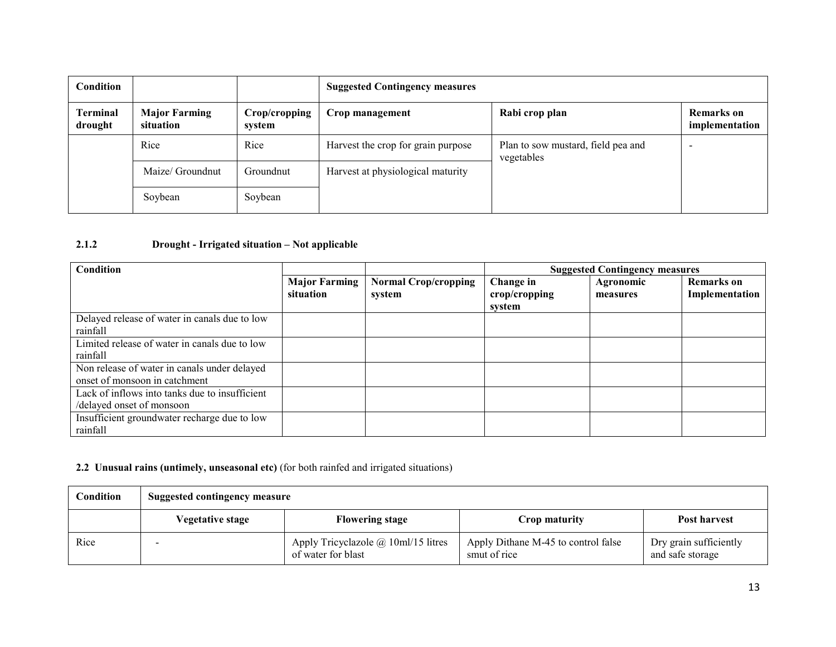| <b>Condition</b>           |                                   |                         | <b>Suggested Contingency measures</b> |                                                  |                              |
|----------------------------|-----------------------------------|-------------------------|---------------------------------------|--------------------------------------------------|------------------------------|
| <b>Terminal</b><br>drought | <b>Major Farming</b><br>situation | Crop/cropping<br>system | Crop management                       | Rabi crop plan                                   | Remarks on<br>implementation |
|                            | Rice                              | Rice                    | Harvest the crop for grain purpose    | Plan to sow mustard, field pea and<br>vegetables | -                            |
|                            | Maize/ Groundnut                  | Groundnut               | Harvest at physiological maturity     |                                                  |                              |
|                            | Soybean                           | Soybean                 |                                       |                                                  |                              |

# 2.1.2 Drought - Irrigated situation – Not applicable

| Condition                                                                     |                                   |                                       |                                      | <b>Suggested Contingency measures</b> |                                     |
|-------------------------------------------------------------------------------|-----------------------------------|---------------------------------------|--------------------------------------|---------------------------------------|-------------------------------------|
|                                                                               | <b>Major Farming</b><br>situation | <b>Normal Crop/cropping</b><br>system | Change in<br>crop/cropping<br>svstem | Agronomic<br>measures                 | <b>Remarks</b> on<br>Implementation |
| Delayed release of water in canals due to low<br>rainfall                     |                                   |                                       |                                      |                                       |                                     |
| Limited release of water in canals due to low<br>rainfall                     |                                   |                                       |                                      |                                       |                                     |
| Non release of water in canals under delayed<br>onset of monsoon in catchment |                                   |                                       |                                      |                                       |                                     |
| Lack of inflows into tanks due to insufficient<br>/delayed onset of monsoon   |                                   |                                       |                                      |                                       |                                     |
| Insufficient groundwater recharge due to low<br>rainfall                      |                                   |                                       |                                      |                                       |                                     |

#### 2.2 Unusual rains (untimely, unseasonal etc) (for both rainfed and irrigated situations)

| Condition | <b>Suggested contingency measure</b> |                                                           |                                                     |                                            |  |  |
|-----------|--------------------------------------|-----------------------------------------------------------|-----------------------------------------------------|--------------------------------------------|--|--|
|           | <b>Vegetative stage</b>              | <b>Flowering stage</b>                                    | Crop maturity                                       | Post harvest                               |  |  |
| Rice      |                                      | Apply Tricyclazole @ 10ml/15 litres<br>of water for blast | Apply Dithane M-45 to control false<br>smut of rice | Dry grain sufficiently<br>and safe storage |  |  |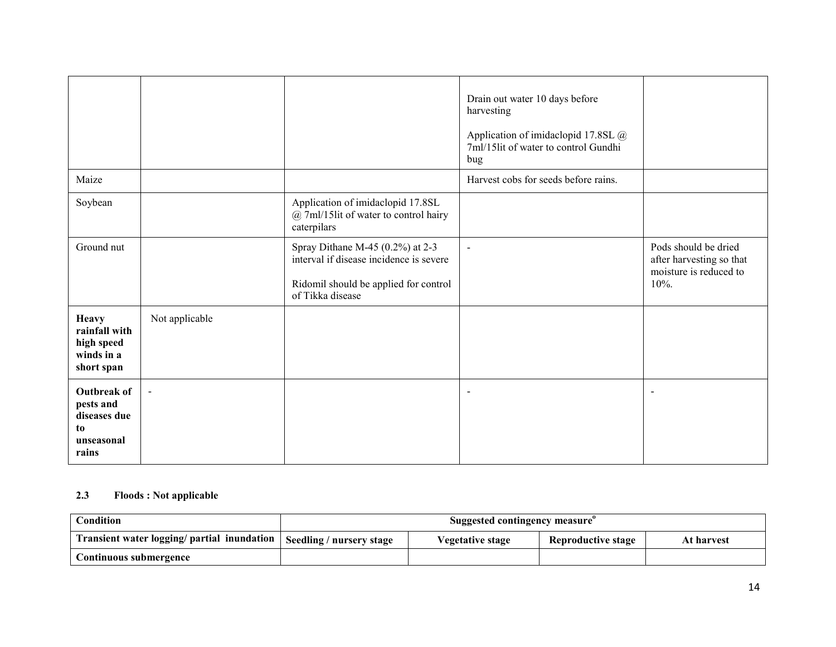| Maize                                                                        |                |                                                                                                                                             | Drain out water 10 days before<br>harvesting<br>Application of imidaclopid 17.8SL @<br>7ml/15lit of water to control Gundhi<br>bug<br>Harvest cobs for seeds before rains. |                                                                                       |
|------------------------------------------------------------------------------|----------------|---------------------------------------------------------------------------------------------------------------------------------------------|----------------------------------------------------------------------------------------------------------------------------------------------------------------------------|---------------------------------------------------------------------------------------|
| Soybean                                                                      |                | Application of imidaclopid 17.8SL<br>@ 7ml/15lit of water to control hairy<br>caterpilars                                                   |                                                                                                                                                                            |                                                                                       |
| Ground nut                                                                   |                | Spray Dithane M-45 $(0.2\%)$ at 2-3<br>interval if disease incidence is severe<br>Ridomil should be applied for control<br>of Tikka disease | $\sim$                                                                                                                                                                     | Pods should be dried<br>after harvesting so that<br>moisture is reduced to<br>$10%$ . |
| <b>Heavy</b><br>rainfall with<br>high speed<br>winds in a<br>short span      | Not applicable |                                                                                                                                             |                                                                                                                                                                            |                                                                                       |
| <b>Outbreak of</b><br>pests and<br>diseases due<br>to<br>unseasonal<br>rains |                |                                                                                                                                             | $\overline{\phantom{a}}$                                                                                                                                                   | $\overline{\phantom{0}}$                                                              |

# 2.3 Floods : Not applicable

| <b>Condition</b>                            | Suggested contingency measure <sup>o</sup> |                  |                           |            |
|---------------------------------------------|--------------------------------------------|------------------|---------------------------|------------|
| Transient water logging/ partial inundation | Seedling / nursery stage                   | Vegetative stage | <b>Reproductive stage</b> | At harvest |
| Continuous submergence                      |                                            |                  |                           |            |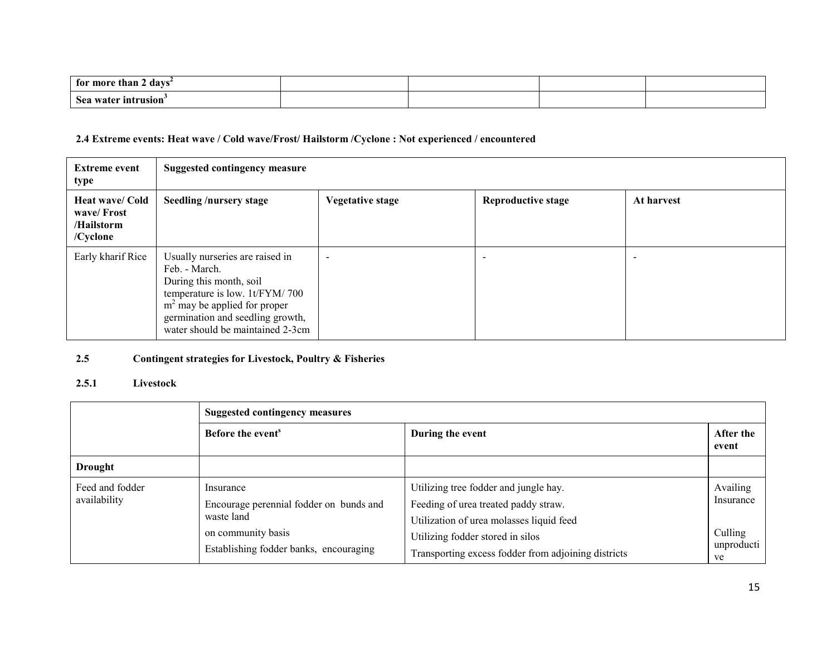| davs<br>for more<br>e than |  |  |
|----------------------------|--|--|
| Sea water<br>' intrusion'  |  |  |

# 2.4 Extreme events: Heat wave / Cold wave/Frost/ Hailstorm /Cyclone : Not experienced / encountered

| <b>Extreme event</b><br>type                                   | <b>Suggested contingency measure</b>                                                                                                                                                                                    |                          |                           |            |  |
|----------------------------------------------------------------|-------------------------------------------------------------------------------------------------------------------------------------------------------------------------------------------------------------------------|--------------------------|---------------------------|------------|--|
| <b>Heat wave/ Cold</b><br>wave/Frost<br>/Hailstorm<br>/Cyclone | <b>Seedling /nursery stage</b>                                                                                                                                                                                          | <b>Vegetative stage</b>  | <b>Reproductive stage</b> | At harvest |  |
| Early kharif Rice                                              | Usually nurseries are raised in<br>Feb. - March.<br>During this month, soil<br>temperature is low. 1t/FYM/700<br>$m2$ may be applied for proper<br>germination and seedling growth,<br>water should be maintained 2-3cm | $\overline{\phantom{0}}$ | $\overline{\phantom{0}}$  |            |  |

#### 2.5Contingent strategies for Livestock, Poultry & Fisheries

# 2.5.1 Livestock

|                                 | <b>Suggested contingency measures</b>                                                                                              |                                                                                                                                                                                                                      |                                                      |  |  |  |
|---------------------------------|------------------------------------------------------------------------------------------------------------------------------------|----------------------------------------------------------------------------------------------------------------------------------------------------------------------------------------------------------------------|------------------------------------------------------|--|--|--|
|                                 | Before the event <sup>s</sup>                                                                                                      | During the event                                                                                                                                                                                                     | After the<br>event                                   |  |  |  |
| <b>Drought</b>                  |                                                                                                                                    |                                                                                                                                                                                                                      |                                                      |  |  |  |
| Feed and fodder<br>availability | Insurance<br>Encourage perennial fodder on bunds and<br>waste land<br>on community basis<br>Establishing fodder banks, encouraging | Utilizing tree fodder and jungle hay.<br>Feeding of urea treated paddy straw.<br>Utilization of urea molasses liquid feed<br>Utilizing fodder stored in silos<br>Transporting excess fodder from adjoining districts | Availing<br>Insurance<br>Culling<br>unproducti<br>ve |  |  |  |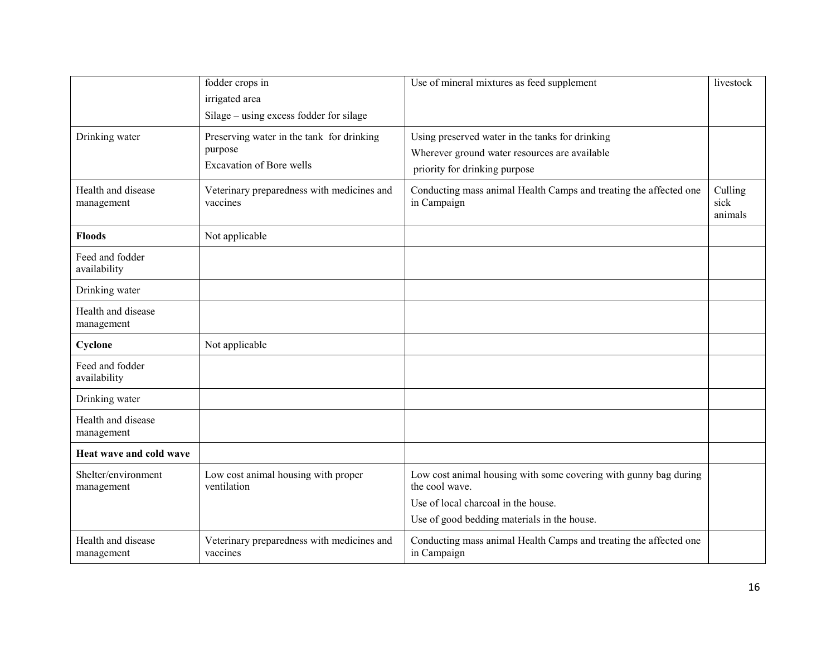|                                   | fodder crops in<br>irrigated area<br>Silage – using excess fodder for silage            | Use of mineral mixtures as feed supplement                                                                                        | livestock                  |
|-----------------------------------|-----------------------------------------------------------------------------------------|-----------------------------------------------------------------------------------------------------------------------------------|----------------------------|
| Drinking water                    | Preserving water in the tank for drinking<br>purpose<br><b>Excavation of Bore wells</b> | Using preserved water in the tanks for drinking<br>Wherever ground water resources are available<br>priority for drinking purpose |                            |
| Health and disease<br>management  | Veterinary preparedness with medicines and<br>vaccines                                  | Conducting mass animal Health Camps and treating the affected one<br>in Campaign                                                  | Culling<br>sick<br>animals |
| <b>Floods</b>                     | Not applicable                                                                          |                                                                                                                                   |                            |
| Feed and fodder<br>availability   |                                                                                         |                                                                                                                                   |                            |
| Drinking water                    |                                                                                         |                                                                                                                                   |                            |
| Health and disease<br>management  |                                                                                         |                                                                                                                                   |                            |
| Cyclone                           | Not applicable                                                                          |                                                                                                                                   |                            |
| Feed and fodder<br>availability   |                                                                                         |                                                                                                                                   |                            |
| Drinking water                    |                                                                                         |                                                                                                                                   |                            |
| Health and disease<br>management  |                                                                                         |                                                                                                                                   |                            |
| Heat wave and cold wave           |                                                                                         |                                                                                                                                   |                            |
| Shelter/environment<br>management | Low cost animal housing with proper<br>ventilation                                      | Low cost animal housing with some covering with gunny bag during<br>the cool wave.                                                |                            |
|                                   |                                                                                         | Use of local charcoal in the house.                                                                                               |                            |
|                                   |                                                                                         | Use of good bedding materials in the house.                                                                                       |                            |
| Health and disease<br>management  | Veterinary preparedness with medicines and<br>vaccines                                  | Conducting mass animal Health Camps and treating the affected one<br>in Campaign                                                  |                            |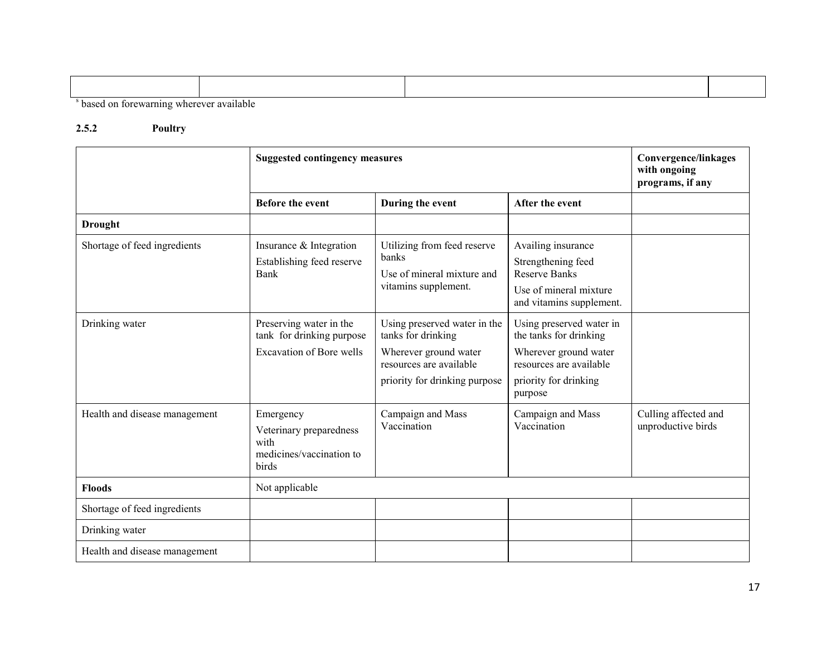| . On the second construction of the construction of the construction of the construction of the construction of |  |  |
|-----------------------------------------------------------------------------------------------------------------|--|--|

s based on forewarning wherever available

#### 2.5.2 Poultry

|                               | <b>Suggested contingency measures</b>                                                   | <b>Convergence/linkages</b><br>with ongoing<br>programs, if any                                                                         |                                                                                                                                            |                                            |
|-------------------------------|-----------------------------------------------------------------------------------------|-----------------------------------------------------------------------------------------------------------------------------------------|--------------------------------------------------------------------------------------------------------------------------------------------|--------------------------------------------|
|                               | Before the event                                                                        | During the event                                                                                                                        | After the event                                                                                                                            |                                            |
| <b>Drought</b>                |                                                                                         |                                                                                                                                         |                                                                                                                                            |                                            |
| Shortage of feed ingredients  | Insurance & Integration<br>Establishing feed reserve<br><b>Bank</b>                     | Utilizing from feed reserve<br>banks<br>Use of mineral mixture and<br>vitamins supplement.                                              | Availing insurance<br>Strengthening feed<br><b>Reserve Banks</b><br>Use of mineral mixture<br>and vitamins supplement.                     |                                            |
| Drinking water                | Preserving water in the<br>tank for drinking purpose<br><b>Excavation of Bore wells</b> | Using preserved water in the<br>tanks for drinking<br>Wherever ground water<br>resources are available<br>priority for drinking purpose | Using preserved water in<br>the tanks for drinking<br>Wherever ground water<br>resources are available<br>priority for drinking<br>purpose |                                            |
| Health and disease management | Emergency<br>Veterinary preparedness<br>with<br>medicines/vaccination to<br>birds       | Campaign and Mass<br>Vaccination                                                                                                        | Campaign and Mass<br>Vaccination                                                                                                           | Culling affected and<br>unproductive birds |
| <b>Floods</b>                 | Not applicable                                                                          |                                                                                                                                         |                                                                                                                                            |                                            |
| Shortage of feed ingredients  |                                                                                         |                                                                                                                                         |                                                                                                                                            |                                            |
| Drinking water                |                                                                                         |                                                                                                                                         |                                                                                                                                            |                                            |
| Health and disease management |                                                                                         |                                                                                                                                         |                                                                                                                                            |                                            |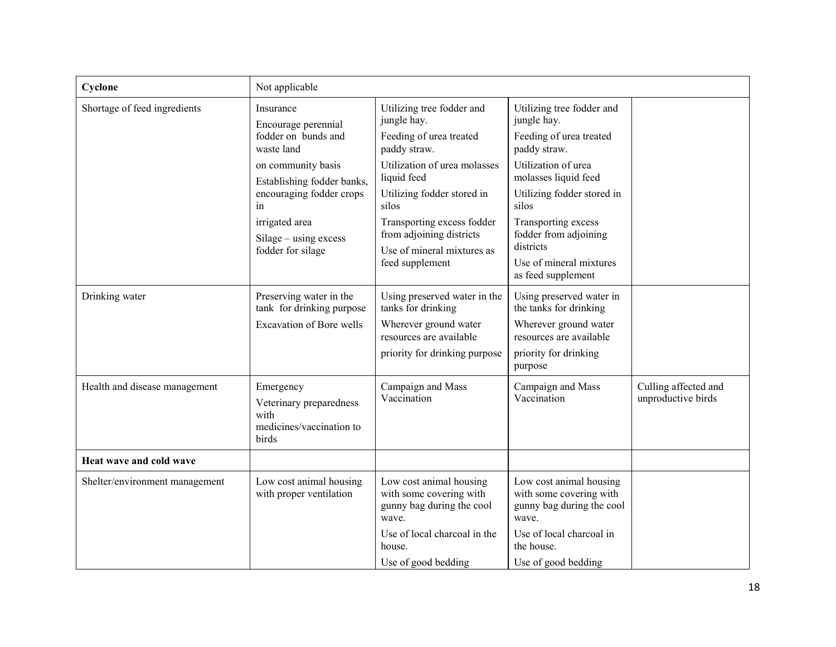| Cyclone                        | Not applicable                                                                                                                                                                                                              |                                                                                                                                                                                                                                                                                      |                                                                                                                                                                                                                                                                                         |                                            |
|--------------------------------|-----------------------------------------------------------------------------------------------------------------------------------------------------------------------------------------------------------------------------|--------------------------------------------------------------------------------------------------------------------------------------------------------------------------------------------------------------------------------------------------------------------------------------|-----------------------------------------------------------------------------------------------------------------------------------------------------------------------------------------------------------------------------------------------------------------------------------------|--------------------------------------------|
| Shortage of feed ingredients   | Insurance<br>Encourage perennial<br>fodder on bunds and<br>waste land<br>on community basis<br>Establishing fodder banks,<br>encouraging fodder crops<br>in<br>irrigated area<br>Silage – using excess<br>fodder for silage | Utilizing tree fodder and<br>jungle hay.<br>Feeding of urea treated<br>paddy straw.<br>Utilization of urea molasses<br>liquid feed<br>Utilizing fodder stored in<br>silos<br>Transporting excess fodder<br>from adjoining districts<br>Use of mineral mixtures as<br>feed supplement | Utilizing tree fodder and<br>jungle hay.<br>Feeding of urea treated<br>paddy straw.<br>Utilization of urea<br>molasses liquid feed<br>Utilizing fodder stored in<br>silos<br>Transporting excess<br>fodder from adjoining<br>districts<br>Use of mineral mixtures<br>as feed supplement |                                            |
| Drinking water                 | Preserving water in the<br>tank for drinking purpose<br><b>Excavation of Bore wells</b>                                                                                                                                     | Using preserved water in the<br>tanks for drinking<br>Wherever ground water<br>resources are available<br>priority for drinking purpose                                                                                                                                              | Using preserved water in<br>the tanks for drinking<br>Wherever ground water<br>resources are available<br>priority for drinking<br>purpose                                                                                                                                              |                                            |
| Health and disease management  | Emergency<br>Veterinary preparedness<br>with<br>medicines/vaccination to<br>birds                                                                                                                                           | Campaign and Mass<br>Vaccination                                                                                                                                                                                                                                                     | Campaign and Mass<br>Vaccination                                                                                                                                                                                                                                                        | Culling affected and<br>unproductive birds |
| Heat wave and cold wave        |                                                                                                                                                                                                                             |                                                                                                                                                                                                                                                                                      |                                                                                                                                                                                                                                                                                         |                                            |
| Shelter/environment management | Low cost animal housing<br>with proper ventilation                                                                                                                                                                          | Low cost animal housing<br>with some covering with<br>gunny bag during the cool<br>wave.<br>Use of local charcoal in the<br>house.<br>Use of good bedding                                                                                                                            | Low cost animal housing<br>with some covering with<br>gunny bag during the cool<br>wave.<br>Use of local charcoal in<br>the house.<br>Use of good bedding                                                                                                                               |                                            |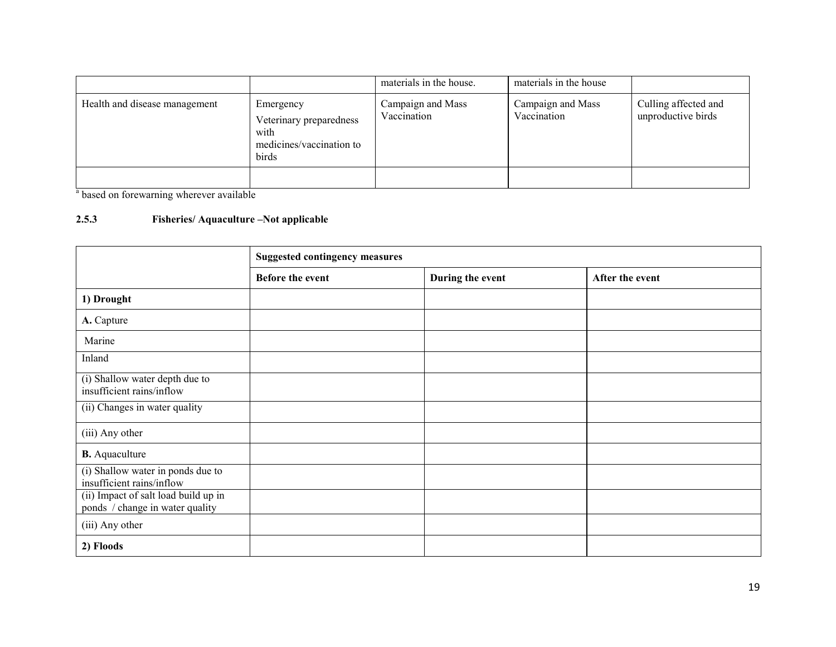|                               |                                                                                   | materials in the house.          | materials in the house           |                                            |
|-------------------------------|-----------------------------------------------------------------------------------|----------------------------------|----------------------------------|--------------------------------------------|
| Health and disease management | Emergency<br>Veterinary preparedness<br>with<br>medicines/vaccination to<br>birds | Campaign and Mass<br>Vaccination | Campaign and Mass<br>Vaccination | Culling affected and<br>unproductive birds |
|                               |                                                                                   |                                  |                                  |                                            |

<sup>a</sup> based on forewarning wherever available

## 2.5.3 Fisheries/ Aquaculture –Not applicable

|                                                                         | <b>Suggested contingency measures</b> |                  |                 |  |
|-------------------------------------------------------------------------|---------------------------------------|------------------|-----------------|--|
|                                                                         | <b>Before the event</b>               | During the event | After the event |  |
| 1) Drought                                                              |                                       |                  |                 |  |
| A. Capture                                                              |                                       |                  |                 |  |
| Marine                                                                  |                                       |                  |                 |  |
| Inland                                                                  |                                       |                  |                 |  |
| (i) Shallow water depth due to<br>insufficient rains/inflow             |                                       |                  |                 |  |
| (ii) Changes in water quality                                           |                                       |                  |                 |  |
| (iii) Any other                                                         |                                       |                  |                 |  |
| <b>B.</b> Aquaculture                                                   |                                       |                  |                 |  |
| (i) Shallow water in ponds due to<br>insufficient rains/inflow          |                                       |                  |                 |  |
| (ii) Impact of salt load build up in<br>ponds / change in water quality |                                       |                  |                 |  |
| (iii) Any other                                                         |                                       |                  |                 |  |
| 2) Floods                                                               |                                       |                  |                 |  |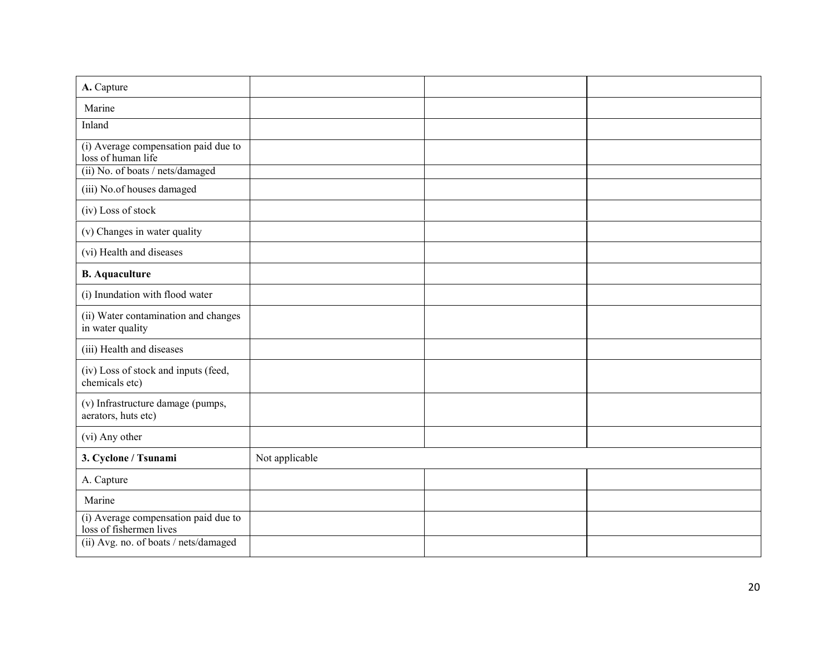| A. Capture                                                      |                |  |
|-----------------------------------------------------------------|----------------|--|
| Marine                                                          |                |  |
| Inland                                                          |                |  |
| (i) Average compensation paid due to<br>loss of human life      |                |  |
| (ii) No. of boats / nets/damaged                                |                |  |
| (iii) No.of houses damaged                                      |                |  |
| (iv) Loss of stock                                              |                |  |
| (v) Changes in water quality                                    |                |  |
| (vi) Health and diseases                                        |                |  |
| <b>B.</b> Aquaculture                                           |                |  |
| (i) Inundation with flood water                                 |                |  |
| (ii) Water contamination and changes<br>in water quality        |                |  |
| (iii) Health and diseases                                       |                |  |
| (iv) Loss of stock and inputs (feed,<br>chemicals etc)          |                |  |
| (v) Infrastructure damage (pumps,<br>aerators, huts etc)        |                |  |
| (vi) Any other                                                  |                |  |
| 3. Cyclone / Tsunami                                            | Not applicable |  |
| A. Capture                                                      |                |  |
| Marine                                                          |                |  |
| (i) Average compensation paid due to<br>loss of fishermen lives |                |  |
| (ii) Avg. no. of boats / nets/damaged                           |                |  |